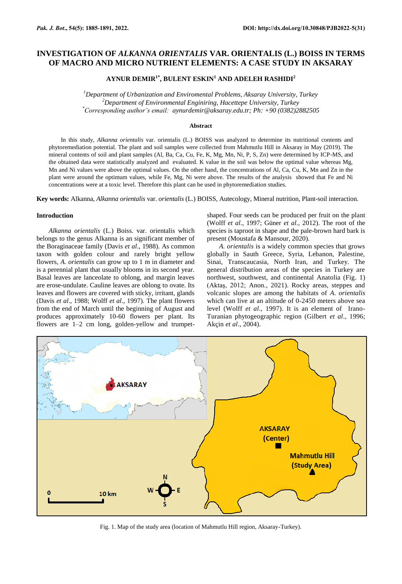# **INVESTIGATION OF** *ALKANNA ORIENTALIS* **VAR. ORIENTALIS (L.) BOISS IN TERMS OF MACRO AND MICRO NUTRIENT ELEMENTS: A CASE STUDY IN AKSARAY**

# **AYNUR DEMIR1\*, BULENT ESKIN<sup>1</sup> AND ADELEH RASHIDI<sup>2</sup>**

*<sup>1</sup>Department of Urbanization and Enviromental Problems, Aksaray University, Turkey <sup>2</sup>Department of Environmental Enginiring, Hacettepe University, Turkey \*Corresponding author's email: [aynurdemir@aksaray.edu.tr;](mailto:aynurdemir@aksaray.edu.tr) Ph: +90 (0382)2882505*

## **Abstract**

In this study, *Alkanna orientalis* var. orientalis (L.) BOISS was analyzed to determine its nutritional contents and phytoremediation potential. The plant and soil samples were collected from Mahmutlu Hill in Aksaray in May (2019). The mineral contents of soil and plant samples (Al, Ba, Ca, Cu, Fe, K, Mg, Mn, Ni, P, S, Zn) were determined by ICP-MS, and the obtained data were statistically analyzed and evaluated. K value in the soil was below the optimal value whereas Mg, Mn and Ni values were above the optimal values. On the other hand, the concentrations of Al, Ca, Cu, K, Mn and Zn in the plant were around the optimum values, while Fe, Mg, Ni were above. The results of the analysis showed that Fe and Ni concentrations were at a toxic level. Therefore this plant can be used in phytoremediation studies.

**Key words:** Alkanna, *Alkanna orientalis* var. *orientalis* (L.) BOISS*,* Autecology, Mineral nutrition, Plant-soil interaction.

# **Introduction**

*Alkanna orientalis* (L.) Boiss. var. orientalis which belongs to the genus Alkanna is an significant member of the Boraginaceae family (Davis *et al*., 1988). As common taxon with golden colour and rarely bright yellow flowers, *A. orientalis* can grow up to 1 m in diameter and is a perennial plant that usually blooms in its second year. Basal leaves are lanceolate to oblong, and margin leaves are erose-undulate. Cauline leaves are oblong to ovate. Its leaves and flowers are covered with sticky, irritant, glands (Davis *et al*., 1988; Wolff *et al*., 1997). The plant flowers from the end of March until the beginning of August and produces approximately 10-60 flowers per plant. Its flowers are 1–2 cm long, golden-yellow and trumpetshaped. Four seeds can be produced per fruit on the plant (Wolff *et al*., 1997; Güner *et al*., 2012). The root of the species is taproot in shape and the pale-brown hard bark is present (Moustafa & Mansour, 2020).

*A. orientalis* is a widely common species that grows globally in Sauth Greece, Syria, Lebanon, Palestine, Sinai, Transcaucasia, North Iran, and Turkey. The general distribution areas of the species in Turkey are northwest, southwest, and continental Anatolia (Fig. 1) (Aktaş, 2012; Anon., 2021). Rocky areas, steppes and volcanic slopes are among the habitats of *A*. *orientalis* which can live at an altitude of 0-2450 meters above sea level (Wolff *et al*., 1997). It is an element of Irano-Turanian phytogeographic region (Gilbert *et al*., 1996; Akçin *et al*., 2004).



Fig. 1. Map of the study area (location of Mahmutlu Hill region, Aksaray-Turkey).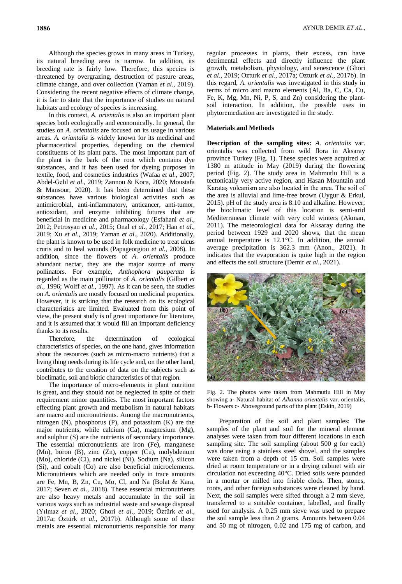Although the species grows in many areas in Turkey, its natural breeding area is narrow. In addition, its breeding rate is fairly low. Therefore, this species is threatened by overgrazing, destruction of pasture areas, climate change, and over collection (Yaman *et al*., 2019). Considering the recent negative effects of climate change, it is fair to state that the importance of studies on natural habitats and ecology of species is increasing.

In this context, *A*. *orientalis* is also an important plant species both ecologically and economically. In general, the studies on *A. orientalis* are focused on its usage in various areas. *A. oriantalis* is widely known for its medicinal and pharmaceutical properties, depending on the chemical constituents of its plant parts. The most important part of the plant is the bark of the root which contains dye substances, and it has been used for dyeing purposes in textile, food, and cosmetics industries (Wafaa *et al*., 2007; Abdel-Gelıl *et al*., 2019; Zannou & Koca, 2020; Moustafa & Mansour, 2020). It has been determined that these substances have various biological activities such as antimicrobial, anti-inflammatory, anticancer, anti-tumor, antioxidant, and enzyme inhibiting futures that are beneficial in medicine and pharmacology (Esfahani *et al*., 2012; Petrosyan *et al*., 2015; Onal *et al*., 2017; Han *et al*., 2019; Xu *et al*., 2019; Yaman *et al*., 2020). Additionally, the plant is known to be used in folk medicine to treat ulcus cruris and to heal wounds (Papageorgiou *et al*., 2008). In addition, since the flowers of *A*. *orientalis* produce abundant nectar, they are the major source of many pollinators. For example, *Anthophora pauperata* is regarded as the main pollinator of *A. orientalis* (Gilbert *et al*., 1996; Wolff *et al*., 1997). As it can be seen, the studies on *A. orientalis* are mostly focused on medicinal properties. However, it is striking that the research on its ecological characteristics are limited. Evaluated from this point of view, the present study is of great importance for literature, and it is assumed that it would fill an important deficiency thanks to its results.

Therefore, the determination of ecological characteristics of species, on the one hand, gives information about the resources (such as micro-macro nutrients) that a living thing needs during its life cycle and, on the other hand, contributes to the creation of data on the subjects such as bioclimatic, soil and biotic characteristics of that region.

The importance of micro-elements in plant nutrition is great, and they should not be neglected in spite of their requirement minor quantities. The most important factors effecting plant growth and metabolism in natural habitats are macro and micronutrients. Among the macronutrients, nitrogen (N), phosphorus (P), and potassium (K) are the major nutrients, while calcium (Ca), magnesium (Mg), and sulphur (S) are the nutrients of secondary importance. The essential micronutrients are iron (Fe), manganese (Mn), boron (B), zinc (Zn), copper (Cu), molybdenum (Mo), chloride (Cl), and nickel (Ni). Sodium (Na), silicon (Si), and cobalt (Co) are also beneficial microelements. Micronutrients which are needed only in trace amounts are Fe, Mn, B, Zn, Cu, Mo, Cl, and Na (Bolat & Kara, 2017; Seven *et al*., 2018). These essential micronutrients are also heavy metals and accumulate in the soil in various ways such as industrial waste and sewage disposal (Yılmaz *et al.,* 2020; Ghori *et al*., 2019; Öztürk *et al*., 2017a; Öztürk *et al*., 2017b). Although some of these metals are essential micronutrients responsible for many

regular processes in plants, their excess, can have detrimental effects and directly influence the plant growth, metabolism, physiology, and senescence (Ghori *et al*., 2019; Ozturk *et al*., 2017a; Ozturk *et al*., 2017b). In this regard, *A. orientalis* was investigated in this study in terms of micro and macro elements (Al, Ba, C, Ca, Cu, Fe, K, Mg, Mn, Ni, P, S, and Zn) considering the plantsoil interaction. In addition, the possible uses in phytoremediation are investigated in the study.

## **Materials and Methods**

**Description of the sampling sites:** *A. orientalis* var. orientalis was collected from wild flora in Aksaray province Turkey (Fig. 1). These species were acquired at 1380 m attitude in May (2019) during the flowering period (Fig. 2). The study area in Mahmutlu Hill is a tectonically very active region, and Hasan Mountain and Karataş volcanism are also located in the area. The soil of the area is alluvial and lime-free brown (Uygur & Erkul, 2015). pH of the study area is 8.10 and alkaline. However, the bioclimatic level of this location is semi-arid Mediterranean climate with very cold winters (Akman, 2011). The meteorological data for Aksaray during the period between 1929 and 2020 shows, that the mean annual temperature is 12.1°C. In addition, the annual average precipitation is 362.3 mm (Anon., 2021). It indicates that the evaporation is quite high in the region and effects the soil structure (Demir *et al*., 2021).



Fig. 2. The photos were taken from Mahmutlu Hill in May showing a- Natural habitat of *Alkanna orientalis* var. orientalis, b- Flowers c- Aboveground parts of the plant (Eskin, 2019)

Preparation of the soil and plant samples: The samples of the plant and soil for the mineral element analyses were taken from four different locations in each sampling site. The soil sampling (about 500 g for each) was done using a stainless steel shovel, and the samples were taken from a depth of 15 cm. Soil samples were dried at room temperature or in a drying cabinet with air circulation not exceeding 40°C. Dried soils were pounded in a mortar or milled into friable clods. Then, stones, roots, and other foreign substances were cleaned by hand. Next, the soil samples were sifted through a 2 mm sieve, transferred to a suitable container, labelled, and finally used for analysis. A 0.25 mm sieve was used to prepare the soil sample less than 2 grams. Amounts between 0.04 and 50 mg of nitrogen, 0.02 and 175 mg of carbon, and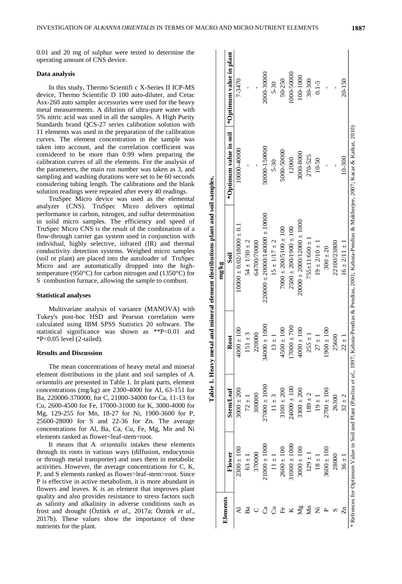0.01 and 20 mg of sulphur were tested to determine the operating amount of CNS device.

#### **Data analysis**

In this study, Thermo Scientifi c X-Series II ICP-MS device, Thermo Scientific D 100 auto-diluter, and Cetac Asx-260 auto sampler accessories were used for the heavy metal measurements. A dilution of ultra-pure water with 5% nitric acid was used in all the samples. A High Purity Standards brand QCS-27 series calibration solution with 11 elements was used in the preparation of the calibration curves. The element concentration in the sample was taken into account, and the correlation coefficient was considered to be more than 0.99 when preparing the calibration curves of all the elements. For the analysis of the parameters, the main run number was taken as 3, and sampling and washing durations were set to be 60 seconds considering tubing length. The calibrations and the blank solution readings were repeated after every 40 readings.

TruSpec Micro device was used as the elemental analyzer (CNS). TruSpec Micro delivers optimal performance in carbon, nitrogen, and sulfur determination in solid micro samples. The efficiency and speed of TruSpec Micro CNS is the result of the combination of a flow-through carrier gas system used in conjunction with individual, highly selective, infrared (IR) and thermal conductivity detection systems. Weighed micro samples (soil or plant) are placed into the autoloader of TruSpec Micro and are automatically dropped into the hightemperature (950°C) for carbon nitrogen and (1350°C) for S combustion furnace, allowing the sample to combust.

## **Statistical analyses**

Multivariate analysis of variance (MANOVA) with Tukey's post-hoc HSD and Pearson correlation were calculated using IBM SPSS Statistics 20 software. The statistical significance was shown as \*\*P<0.01 and \*P<0.05 level (2-tailed).

## **Results and Discussion**

The mean concentrations of heavy metal and mineral element distributions in the plant and soil samples of *A. oriantalis* are presented in Table 1. In plant parts, element concentrations (mg/kg) are 2300-4000 for Al, 63-151 for Ba, 220000-370000, for C, 21000-34000 for Ca, 11-13 for Cu, 2600-4500 for Fe, 17000-31000 for K, 3000-4000 for Mg, 129-255 for Mn, 18-27 for Ni, 1900-3600 for P, 25600-28000 for S and 22-36 for Zn. The average concentrations for Al, Ba, Ca, Cu, Fe, Mg, Mn and Ni elements ranked as flower<leaf-stem<root.

It means that *A. oriantalis* intakes these elements through its roots in various ways (diffusion, endocytosis or through metal transporter) and uses them in metabolic activities. However, the average concentrations for C, K, P, and S elements ranked as flower>leaf-stem>root. Since P is effective in active metabolism, it is more abundant in flowers and leaves. K is an element that improves plant quality and also provides resistance to stress factors such as salinity and alkalinity in adverse conditions such as frost and drought (Öztürk *et al*., 2017a; Öztürk *et al*., 2017b). These values show the importance of these nutrients for the plant.

|                       |                  |                  |                        | Table 1. Heavy metal and mineral element distributions plant and soil samples.                                                                                 |                        |                         |
|-----------------------|------------------|------------------|------------------------|----------------------------------------------------------------------------------------------------------------------------------------------------------------|------------------------|-------------------------|
|                       |                  |                  |                        | mg/kg                                                                                                                                                          |                        |                         |
| Elements              | Flower           | Stem/Leaf        | Root                   | $\overline{\text{S}}$ oil                                                                                                                                      | *Optimum value in soil | *Optimum value in plant |
|                       | $2300 \pm 100$   | $3000 \pm 200$   | $4000 \pm 100$         | $100000 \pm 0.02/18000 \pm 0.1$                                                                                                                                | 10000-40000            | 7-3470                  |
| Ba                    | $63 \pm 1$       | $72 \pm 1$       | $51 \pm 3$             | $54 \pm 1/30 \pm 2$                                                                                                                                            |                        |                         |
|                       | 370000           | 300000           | 220000                 | 64700/70000                                                                                                                                                    |                        |                         |
| ೈ                     | $21000 \pm 1000$ | $27000 \pm 1000$ | $0001 \pm 000$<br>3400 | $220000 \pm 20000/140000 \pm 10000$                                                                                                                            | 50000-150000           | 2000-30000              |
| ටි                    | $11 \pm 1$       | $11 \pm 3$       | $13 \pm 1$             | $15 \pm 1/17 \pm 2$                                                                                                                                            | $5 - 30$               | $5 - 30$                |
| ĒΘ                    | $2600 \pm 100$   | $3100 \pm 200$   | $4500 \pm 100$         | $7000 \pm 200/5100 \pm 100$                                                                                                                                    | 5000-50000             | 50-250                  |
|                       | $31000 \pm 1000$ | $24000 \pm 100$  | $17000 \pm 700$        | $2500 \pm 200/1900 \pm 100$                                                                                                                                    | 12000                  | 1000-50000              |
| $\mathbb{Z}^{\alpha}$ | $3000 \pm 100$   | $3300 \pm 200$   | $4000 \pm 100$         | $20000 \pm 2000/12000 \pm 1000$                                                                                                                                | 3000-8000              | 100-1000                |
| $\sum_{ }$            | $129 \pm 1$      | $189 \pm 2$      | $255 \pm 1$            | $755 \pm 11/600 \pm 1$                                                                                                                                         | 270-525                | 30-300                  |
| Ž                     | $18 \pm 1$       | $19 \pm 1$       | $27 \pm 1$             | $19 \pm 2/10 \pm 1$                                                                                                                                            | 10-50                  | $0.1 - 5$               |
|                       | $3600 \pm 100$   | $2700 \pm 100$   | $1900 \pm 100$         | $300 \pm 20$                                                                                                                                                   |                        |                         |
|                       | 28000            | 26300            | 25600                  | 22100/23800                                                                                                                                                    |                        |                         |
| Ę                     | $36 \pm 1$       | $32 \pm 2$       | $22 \pm 1$             | $16 \pm 2/11 \pm 1$                                                                                                                                            | $10-300$               | 20-150                  |
|                       |                  |                  |                        | * Refrences for Optimum Value in Soil and Plant (Pawlisz et al., 1997; Kabata-Pendias & Pendias, 2001; Kabata-Pendias & Mukherjee, 2007; Kacar & Katkat, 2010) |                        |                         |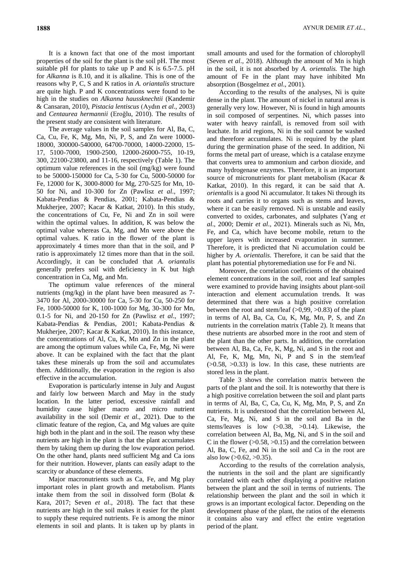It is a known fact that one of the most important properties of the soil for the plant is the soil pH. The most suitable pH for plants to take up P and K is 6.5-7.5. pH for *Alkanna* is 8.10, and it is alkaline. This is one of the reasons why P, C, S and K ratios in *A. oriantalis* structure are quite high. P and K concentrations were found to be high in the studies on *Alkanna haussknechtii* (Kandemir & Cansaran, 2010), *Pistacia lentiscus* (Aydın *et al*., 2003) and *Centaurea hermannii* (Eroğlu, 2010). The results of the present study are consistent with literature.

The average values in the soil samples for Al, Ba, C, Ca, Cu, Fe, K, Mg, Mn, Ni, P, S, and Zn were 10000- 18000, 300000-540000, 64700-70000, 14000-22000, 15- 17, 5100-7000, 1900-2500, 12000-26000-755, 10-19, 300, 22100-23800, and 11-16, respectively (Table 1). The optimum value references in the soil (mg/kg) were found to be 50000-150000 for Ca, 5-30 for Cu, 5000-50000 for Fe, 12000 for K, 3000-8000 for Mg, 270-525 for Mn, 10- 50 for Ni, and 10-300 for Zn (Pawlisz *et al*., 1997; Kabata-Pendias & Pendias, 2001; Kabata-Pendias & Mukherjee, 2007; Kacar & Katkat, 2010). In this study, the concentrations of Cu, Fe, Ni and Zn in soil were within the optimal values. In addition, K was below the optimal value whereas Ca, Mg, and Mn were above the optimal values. K ratio in the flower of the plant is approximately 4 times more than that in the soil, and P ratio is approximately 12 times more than that in the soil. Accordingly, it can be concluded that *A. oriantalis* generally prefers soil with deficiency in K but high concentration in Ca, Mg, and Mn.

The optimum value references of the mineral nutrients (mg/kg) in the plant have been measured as 7- 3470 for Al, 2000-30000 for Ca, 5-30 for Cu, 50-250 for Fe, 1000-50000 for K, 100-1000 for Mg, 30-300 for Mn, 0.1-5 for Ni, and 20-150 for Zn (Pawlisz *et al*., 1997; Kabata-Pendias & Pendias, 2001; Kabata-Pendias & Mukherjee, 2007; Kacar & Katkat, 2010). In this instance, the concentrations of Al, Cu, K, Mn and Zn in the plant are among the optimum values while Ca, Fe, Mg, Ni were above. It can be explained with the fact that the plant takes these minerals up from the soil and accumulates them. Additionally, the evaporation in the region is also effective in the accumulation.

Evaporation is particularly intense in July and August and fairly low between March and May in the study location. In the latter period, excessive rainfall and humidity cause higher macro and micro nutrient availability in the soil (Demir *et al*., 2021). Due to the climatic feature of the region, Ca, and Mg values are quite high both in the plant and in the soil. The reason why these nutrients are high in the plant is that the plant accumulates them by taking them up during the low evaporation period. On the other hand, plants need sufficient Mg and Ca ions for their nutrition. However, plants can easily adapt to the scarcity or abundance of these elements.

Major macronutrients such as Ca, Fe, and Mg play important roles in plant growth and metabolism. Plants intake them from the soil in dissolved form (Bolat & Kara, 2017; Seven *et al*., 2018). The fact that these nutrients are high in the soil makes it easier for the plant to supply these required nutrients. Fe is among the minor elements in soil and plants. It is taken up by plants in

small amounts and used for the formation of chlorophyll (Seven *et al*., 2018). Although the amount of Mn is high in the soil, it is not absorbed by *A. orientalis.* The high amount of Fe in the plant may have inhibited Mn absorption (Bosgelmez *et al*., 2001).

According to the results of the analyses, Ni is quite dense in the plant. The amount of nickel in natural areas is generally very low. However, Ni is found in high amounts in soil composed of serpentines. Ni, which passes into water with heavy rainfall, is removed from soil with leachate. In arid regions, Ni in the soil cannot be washed and therefore accumulates. Ni is required by the plant during the germination phase of the seed. In addition, Ni forms the metal part of urease, which is a catalase enzyme that converts urea to ammonium and carbon dioxide, and many hydrogenase enzymes. Therefore, it is an important source of micronutrients for plant metabolism (Kacar & Katkat, 2010). In this regard, it can be said that A*. orientalis* is a good Ni accumulator. It takes Ni through its roots and carries it to organs such as stems and leaves, where it can be easily removed. Ni is unstable and easily converted to oxides, carbonates, and sulphates (Yang *et al*., 2000; Demir *et al*., 2021). Minerals such as Ni, Mn, Fe, and Ca, which have become mobile, return to the upper layers with increased evaporation in summer. Therefore, it is predicted that Ni accumulation could be higher by *A. orientalis*. Therefore, it can be said that the plant has potential phytoremediation use for Fe and Ni.

Moreover, the correlation coefficients of the obtained element concentrations in the soil, root and leaf samples were examined to provide having insights about plant-soil interaction and element accumulation trends. It was determined that there was a high positive correlation between the root and stem/leaf (>0,99, >0.83) of the plant in terms of Al, Ba, Ca, Cu, K, Mg, Mn, P, S, and Zn nutrients in the correlation matrix (Table 2). It means that these nutrients are absorbed more in the root and stem of the plant than the other parts. In addition, the correlation between Al, Ba, Ca, Fe, K, Mg, Ni, and S in the root and Al, Fe, K, Mg, Mn, Ni, P and S in the stem/leaf  $(0.58, 0.33)$  is low. In this case, these nutrients are stored less in the plant.

Table 3 shows the correlation matrix between the parts of the plant and the soil. It is noteworthy that there is a high positive correlation between the soil and plant parts in terms of Al, Ba, C, Ca, Cu, K, Mg, Mn, P, S, and Zn nutrients. It is understood that the correlation between Al, Ca, Fe, Mg, Ni, and S in the soil and Ba in the stems/leaves is low (>0.38, >0.14). Likewise, the correlation between Al, Ba, Mg, Ni, and S in the soil and C in the flower  $(>0.58, >0.15)$  and the correlation between Al, Ba, C, Fe, and Ni in the soil and Ca in the root are also low  $(>0.62, >0.35)$ .

According to the results of the correlation analysis, the nutrients in the soil and the plant are significantly correlated with each other displaying a positive relation between the plant and the soil in terms of nutrients. The relationship between the plant and the soil in which it grows is an important ecological factor. Depending on the development phase of the plant, the ratios of the elements it contains also vary and effect the entire vegetation period of the plant.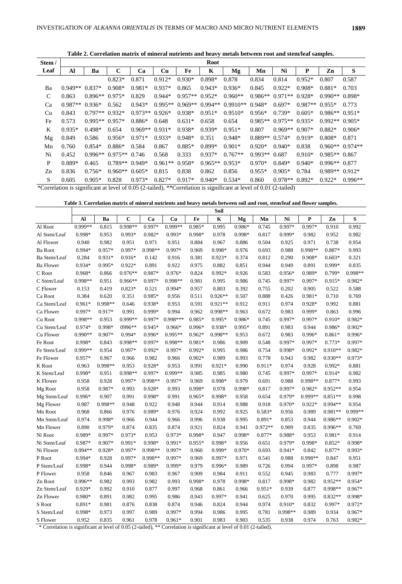**Table 2. Correlation matrix of mineral nutrients and heavy metals between root and stem/leaf samples.**

| Stem/ | <b>Root</b> |           |                 |           |           |           |           |                                                                                                                                                             |           |                 |           |                 |                   |
|-------|-------------|-----------|-----------------|-----------|-----------|-----------|-----------|-------------------------------------------------------------------------------------------------------------------------------------------------------------|-----------|-----------------|-----------|-----------------|-------------------|
| Leaf  | Al          | Ba        | $\mathbf C$     | Ca        | Cu        | Fe        | K         | Mg                                                                                                                                                          | Mn        | Ni              | P         | Zn              | S                 |
|       |             |           | $0.823*$        | 0.871     | $0.912*$  | $0.930*$  | $0.898*$  | 0.878                                                                                                                                                       | 0.834     | 0.814           | $0.952*$  | 0.807           | 0.587             |
| Ba    | $0.949**$   | $0.837*$  | $0.908*$        | $0.981*$  | $0.937*$  | 0.865     | $0.943*$  | $0.936*$                                                                                                                                                    | 0.845     | $0.922*$        | $0.908*$  | $0.881*$        | 0.703             |
| C     | 0.863       | $0.896**$ | $0.975*$        | 0.829     | $0.944*$  | $0.957**$ | $0.952*$  | $0.960**$                                                                                                                                                   | $0.986**$ | $0.971**0.928*$ |           | $0.990**$       | $0.898*$          |
| Ca    | $0.987**$   | $0.936*$  | 0.562           | $0.943*$  | $0.995**$ | $0.969**$ | $0.994**$ | $0.9910**$                                                                                                                                                  | $0.948*$  | $0.697*$        | $0.987**$ | $0.955*$        | 0.773             |
| Cu    | 0.843       | $0.797**$ | $0.932*$        | $0.973**$ | $0.926*$  | $0.938*$  | $0.951*$  | $0.9510*$                                                                                                                                                   | $0.956*$  | $0.739*$        | $0.605*$  | $0.986**$       | $0.951*$          |
| Fe    | 0.573       | $0.995**$ | $0.957*$        | $0.886*$  | 0.648     | $0.631*$  | 0.658     | 0.654                                                                                                                                                       | $0.985**$ | $0.975**0.935*$ |           | $0.992**$       | $0.905*$          |
| K     | $0.935*$    | $0.498*$  | 0.654           | $0.969**$ | $0.931*$  | $0.938*$  | $0.939*$  | $0.951*$                                                                                                                                                    | 0.807     | $0.969**0.907*$ |           | $0.882*$        | $0.906*$          |
| Mg    | 0.849       | 0.586     | $0.956*$        | $0.971*$  | $0.933*$  | $0.948*$  | 0.351     | $0.948*$                                                                                                                                                    | $0.889**$ | $0.574*$        | $0.919*$  | $0.808*$        | 0.871             |
| Mn    | 0.760       | $0.854*$  | $0.886*$        | 0.584     | 0.867     | $0.885*$  | $0.899*$  | $0.901*$                                                                                                                                                    | $0.920*$  | $0.940*$        | 0.838     |                 | $0.960**$ 0.974** |
| Ni    | 0.452       | $0.996**$ | $0.975**$ 0.746 |           | 0.568     | 0.333     | $0.937*$  | $0.767**$                                                                                                                                                   | $0.993**$ | 0.687           | $0.910*$  | $0.985**0.867$  |                   |
| P     | 0.889*      | 0.465     | $0.789**$       | $0.949*$  | $0.961**$ | $0.958*$  | $0.965**$ | $0.953*$                                                                                                                                                    | $0.970*$  | $0.849*$        | $0.940*$  | $0.996**0.877$  |                   |
| Zn    | 0.836       | $0.756*$  | $0.960**$       | $0.605*$  | 0.815     | 0.838     | 0.862     | 0.856                                                                                                                                                       | $0.955*$  | $0.905*$        | 0.784     | $0.989**0.912*$ |                   |
| S     | 0.605       | $0.905*$  | 0.828           | $0.973*$  | $0.827*$  | $0.917*$  | $0.940*$  | $0.534*$                                                                                                                                                    | 0.860     | $0.978**0.892*$ |           | $0.922*$        | $0.996**$         |
|       |             |           |                 |           |           |           |           | $\mathcal{K}_{\text{Comulation}}$ is significant at laysl of 0.05 (2 to lad). $\mathcal{K}_{\text{Comulation}}$ is significant at laysl of 0.01 (2 to lad). |           |                 |           |                 |                   |

\*Correlation is significant at level of 0.05 (2-tailed), \*\*Correlation is significant at level of 0.01 (2-tailed)

**Table 3. Correlation matrix of mineral nutrients and heavy metals between soil and root, stem/leaf and flower samples.**

|                  |           |           |           |           |           |          | Soil      |          |           |          |          |           |           |
|------------------|-----------|-----------|-----------|-----------|-----------|----------|-----------|----------|-----------|----------|----------|-----------|-----------|
|                  | Al        | Ba        | C         | Ca        | Cu        | Fe       | K         | Mg       | Mn        | Ni       | P        | Zn        | S         |
| Al Root          | $0.999**$ | 0.815     | $0.998**$ | 0.997*    | $0.999**$ | 0.985*   | 0.995     | 0.986*   | 0.745     | 0.997*   | 0.997*   | 0.910     | 0.992     |
| Al Stem/Leaf     | 0.998*    | 0.953     | $0.993*$  | $0.982*$  | $0.993*$  | 0.998*   | 0.978     | 0.998*   | 0.817     | 0.999*   | 0.982    | 0.952     | 0.982     |
| Al Flower        | 0.940     | 0.982     | 0.951     | 0.971     | 0.951     | 0.884    | 0.967     | 0.886    | 0.504     | 0.925    | 0.971    | 0.738     | 0.954     |
| <b>Ba Root</b>   | $0.994*$  | $0.957*$  | 0.997*    | 0.998**   | 0.997*    | 0.969    | 0.998*    | 0.976    | 0.693     | 0.988    | 0.998**  | 0.887*    | 0.993     |
| Ba Stem/Leaf     | 0.284     | $0.931*$  | $0.916*$  | 0.142     | 0.916     | 0.381    | $0.923*$  | 0.374    | 0.812     | 0.290    | $0.908*$ | $0.603*$  | 0.321     |
| <b>Ba Flower</b> | $0.934*$  | $0.995*$  | $0.922*$  | 0.891     | 0.922     | 0.975    | 0.882     | 0.851    | 0.944     | 0.949    | 0.891    | 0.999*    | 0.835     |
| C Root           | $0.968*$  | 0.866     | $0.976**$ | 0.987*    | $0.976*$  | 0.824    | 0.992*    | 0.926    | 0.583     | $0.956*$ | 0.989*   | 0.799*    | 0.998**   |
| C Stem/Leaf      | 0.998**   | 0.951     | $0.966**$ | 0.997*    | $0.998**$ | 0.981    | 0.995     | 0.986    | 0.745     | 0.997*   | 0.997*   | $0.915*$  | 0.982*    |
| C Flower         | 0.153     | 0.419     | $0.823*$  | 0.521     | 0.994*    | 0.957    | 0.803     | 0.392    | 0.755     | 0.202    | 0.905    | 0.522     | 0.588     |
| Ca Root          | 0.384     | 0.620     | 0.351     | 0.985*    | 0.956     | 0.511    | $0.926**$ | 0.507    | 0.888     | 0.426    | 0.981*   | 0.710     | 0.769     |
| Ca Stem/Leaf     | $0.961*$  | 0.998**   | 0.646     | 0.938*    | 0.953     | 0.591    | $0.921**$ | 0.912    | 0.911     | 0.974    | $0.928*$ | 0.992     | 0.881     |
| Ca Flower        | 0.997*    | 0.917*    | 0.991     | 0.999*    | 0.994     | 0.962    | $0.998**$ | 0.963    | 0.672     | 0.983    | 0.999*   | 0.863     | 0.996     |
| Cu Root          | $0.998**$ | 0.953     | $0.999**$ | 0.997*    | 0.998***  | 0.985*   | $0.995*$  | 0.986*   | 0.745     | 0.997*   | $0.997*$ | $0.910*$  | 0.982*    |
| Cu Stem/Leaf     | $0.974*$  | $0.998*$  | $0996**$  | $0.945*$  | $0.966*$  | $0.996*$ | 0.938*    | $0.995*$ | 0.891     | 0.983    | 0.944    | 0.986*    | $0.902*$  |
| Cu Flower        | $0.990**$ | 0.907*    | $0.994*$  | $0.996*$  | $0.995**$ | $0.962*$ | 0.998**   | 0.953    | 0.672     | 0.983    | $0.996*$ | $0.861*$  | $0.996*$  |
| Fe Root          | 0.998*    | 0.843     | $0.998**$ | 0.997*    | 0.998**   | 0.981*   | 0.986     | 0.909    | 0.548     | 0.997*   | 0.997*   | $0.773*$  | 0.997*    |
| Fe Stem/Leaf     | $0.999**$ | 0.954     | 0.997*    | $0.992*$  | $0.997*$  | $0.992*$ | 0.995     | 0.986    | 0.754     | 0.998*   | $0.992*$ | $0.910**$ | 0.982*    |
| Fe Flower        | $0.957*$  | 0.967     | 0.966     | 0.982     | 0.966     | $0.902*$ | 0.989     | 0.993    | 0.778     | 0.943    | 0.982    | $0.930**$ | 0.973*    |
| <b>K</b> Root    | 0.963     | $0.998**$ | 0.953     | $0.928*$  | 0.953     | 0.991    | $0.921*$  | 0.990    | $0.911*$  | 0.974    | 0.928    | $0.992*$  | 0.881     |
| K Stem/Leaf      | 0.998*    | 0.951     | $0.998**$ | $0.997*$  | $0.999**$ | 0.985    | 0.985     | 0.980    | 0.745     | 0.997*   | $0.997*$ | $0.914*$  | 0.982     |
| K Flower         | 0.958     | 0.928     | 0.997*    | $0.998**$ | $0.997*$  | 0.969    | 0.998*    | 0.979    | 0.691     | 0.988    | 0.998**  | 0.877*    | 0.993     |
| Mg Root          | 0.958     | 0.987*    | 0.993     | 0.928*    | 0.993     | 0.998*   | 0.978     | 0.998*   | 0.817     | 0.997*   | 0.982*   | $0.952**$ | 0.954     |
| Mg Stem/Leaf     | 0.996*    | 0.907     | 0.991     | 0.998*    | 0.991     | $0.965*$ | 0.998*    | 0.958    | 0.654     | 0.979*   | 0.999**  | $0.851**$ | 0.998     |
| Mg Flower        | 0.987     | $0.998**$ | 0.948     | 0.922     | 0.948     | 0.944    | 0.914     | 0.988    | 0.918     | 0.970*   | $0.922*$ | $0.994**$ | 0.954     |
| Mn Root          | 0.968     | 0.866     | 0.976     | 0.989*    | 0.976     | 0.924    | 0.992     | 0.925    | $0.583*$  | 0.956    | 0.989    | 0.981**   | $0.999**$ |
| Mn Stem/Leaf     | 0.974     | 0.998*    | 0.966     | 0.944     | 0.966     | 0.996    | 0.938     | 0.995    | $0.891*$  | 0.853    | 0.944    | $0.986**$ | $0.902*$  |
| Mn Flower        | 0.890     | 0.979*    | 0.874     | 0.835     | 0.874     | 0.921    | 0.824     | 0.941    | $0.972**$ | 0.909    | 0.835    | $0.996**$ | 0.769     |
| Ni Root          | 0.989*    | 0.997*    | 0.973*    | 0.953     | $0.973*$  | 0.998*   | 0.947     | 0.998*   | 0.877*    | 0.988*   | 0.953    | $0.981*$  | 0.914     |
| Ni Stem/Leaf     | 0.987*    | 0.907*    | $0.991*$  | 0.998*    | $0.991*$  | $0.955*$ | 0.998*    | 0.956    | 0.651     | 0.979*   | 0.998*   | $0.852*$  | 0.998*    |
| Ni Flower        | $0.994**$ | 0.928*    | 0.997*    | 0.998**   | $0.997*$  | 0.960    | 0.999*    | 0.970*   | 0.693     | $0.941*$ | 0.842    | 0.877*    | 0.993*    |
| P Root           | $0.994*$  | 0.928     | 0.997*    | $0.998**$ | $0.997*$  | 0.969    | 0.997*    | 0.971    | 0.541     | 0.988    | 0.998**  | 0.847     | 0.951     |
| P Stem/Leaf      | 0.998*    | 0.944     | 0.998*    | 0.989*    | 0.999*    | 0.979    | 0.996*    | 0.989    | 0.726     | 0.994    | 0.997*   | 0.898     | 0.987     |
| P Flower         | 0.958     | 0.846     | 0.967     | 0.983     | 0.967     | 0.909    | 0.984     | 0.911    | 0.552     | 0.945    | 0.983    | 0.777     | 0.997*    |
| Zn Root          | $0.996**$ | 0.982     | 0.993     | 0.982     | 0.993     | 0.998*   | 0.978     | 0.998*   | 0.817     | 0.998*   | 0.982    | $0.952**$ | $0.954*$  |
| Zn Stem/Leaf     | 0.929*    | 0.992     | 0.910     | 0.877     | 0.997     | 0.968    | 0.861     | 0.966    | $0.951*$  | 0.939    | 0.877    | $0.998**$ | 0.967*    |
| Zn Flower        | 0.980*    | 0.891     | 0.982     | 0.995     | 0.986     | 0.943    | 0.997*    | 0.941    | 0.625     | 0.970    | 0.995    | $0.832**$ | 0.998*    |
| S Root           | $0.891*$  | 0.981     | 0.876     | 0.838     | 0.874     | 0.946    | 0.824     | 0.944    | 0.974     | $0.910*$ | 0.832    | 0.997*    | 0.972*    |
| S Stem/Leaf      | 0.998*    | 0.973     | 0.997     | 0.989     | 0.997*    | 0.994    | 0.986     | 0.995    | 0.781     | 0.998**  | 0.989    | 0.934     | $0.967*$  |
| S Flower         | 0.952     | 0.835     | 0.961     | 0.978     | $0.961*$  | 0.901    | 0.983     | 0.903    | 0.535     | 0.938    | 0.974    | 0.763     | 0.982*    |

\* Correlation is significant at level of 0.05 (2-tailed), \*\* Correlation is significant at level of 0.01 (2-tailed).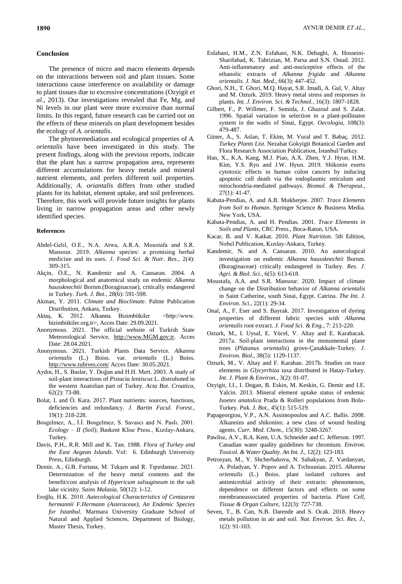### **Conclusion**

The presence of micro and macro elements depends on the interactions between soil and plant tissues. Some interactions cause interference on availability or damage to plant tissues due to excessive concentrations (Ozyigit *et al*., 2013). Our investigations revealed that Fe, Mg, and Ni levels in our plant were more excessive than normal limits. In this regard, future research can be carried out on the effects of these minerals on plant development besides the ecology of *A. orientalis*.

The phytoremediation and ecological properties of *A. orientalis* have been investigated in this study. The present findings, along with the previous reports, indicate that the plant has a narrow propagation area, represents different accumulations for heavy metals and mineral nutrient elements, and prefers different soil properties. Additionally, *A. oriantalis* differs from other studied plants for its habitat, element uptake, and soil preferences. Therefore, this work will provide future insights for plants living in narrow propagation areas and other newly identified species.

## **References**

- Abdel-Gelıl, O.E., N.A. Atwa, A.R.A. Moustafa and S.R. Mansour. 2019. *Alkanna* species: a promising herbal medicine and its uses. *J. Food Sci. & Nutr. Res.,* 2(4): 309-315.
- Akçin, Ö.E., N. Kandemir and A. Cansaran. 2004. A morphological and anatomical study on endemic *Alkanna haussknechtii* Bornm.(Boraginaceae), critically endangered in Turkey. *Turk. J. Bot.*, 28(6): 591-598.
- Akman, Y. 2011. *Climate and Bioclimate*. Palme Publication Distribution, Ankara, Turkey.
- Aktaş, K. 2012. Alkanna. Bizimbitkiler <http://www. bizimbitkiler.org.tr>, Acces Date: 29.09.2021.
- Anonymous. 2021. The official website of Turkish State Meteorological Service, [http://www.MGM.gov.tr.](http://www.mgm.gov.tr/) Acces Date: 28.04.2021.
- Anonymous. 2021. Turkish Plants Data Service. *Alkanna orientalis* (L.) Boiss. var. *orientalis* (L.) Boiss. <http://www.tubives.com/> Acces Date: 30.05.2021.
- Aydın, H., S. Baslar, Y. Doğan and H.H. Mert. 2003. A study of soil-plant interactions of *Pistacia lentiscus* L. distrubuted in the western Anatolian part of Turkey. *Acta Bot. Croatica*, 62(2): 73-88.
- Bolat, I. and Ö. Kara. 2017. Plant nutrients: sources, functions, deficiencies and redundancy. *J. Bartin Facul. Forest.*, 19(1): 218-228.
- Bosgelmez, A., İ.İ. Bosgelmez, S. Savascı and N. Paslı. 2001. *Ecology – II (Soil)*, Baskent Klise Press., Kızılay-Ankara, Turkey.
- Davis, P.H., R.R. Mill and K. Tan. 1988. *Flora of Turkey and the East Aegean Islands*. Vol: 6. Edinburgh University Press, Edinburgh.
- Demir, A., G.B. Furtana, M. Tekşen and R. Tıpırdamaz. 2021. Determination of the heavy metal contents and the benefit/cost analysis of *Hypericum salsugineum* in the salt lake vicinity. *Sains Malasia*, 50(12): 1-12.
- Eroğlu, H.K. 2010. *Autecological Characteristics of Centaurea hermannii F.Hermann (Asteraceae), An Endemic Species for Istanbul*. Marmara University Graduate School of Natural and Applied Sciences. Department of Biology, Master Thesis, Turkey.
- Esfahani, H.M., Z.N. Esfahani, N.K. Dehaghi, A. Hosseini-Sharifabad, K. Tabrizian, M. Parsa and S.N. Ostad. 2012. Anti-inflammatory and anti-nociceptive effects of the ethanolic extracts of *Alkanna frigida* and *Alkanna orientalis*. *J. Nat. Med*., 66(3): 447-452.
- Ghori, N.H., T. Ghori, M.Q. Hayat, S.R. Imadi, A. Gul, V. Altay and M. Ozturk. 2019. Heavy metal stress and responses in plants. *Int. J. Environ. Sci. & Technol.*, 16(3): 1807-1828.
- Gilbert, F., P. Willmer, F. Semida, J. Ghazoul and S. Zalat. 1996. Spatial variation in selection in a plant-pollinator system in the wadis of Sinai, Egypt. *Oecologia*, 108(3): 479-487.
- Güner, A., S. Aslan, T. Ekim, M. Vural and T. Babaç. 2012. *Turkey Plants List.* Nezahat Gokyigit Botanical Garden and Flora Research Association Publication, İstanbul/Turkey.
- Han, X., K.A. Kang, M.J. Piao, A.X. Zhen, Y.J. Hyun, H.M. Kim, Y.S. Ryu and J.W. Hyun. 2019. Shikonin exerts cytotoxic effects in human colon cancers by inducing apoptotic cell death via the endoplasmic reticulum and mitochondria-mediated pathways. *Biomol. & Therapeut.*, 27(1): 41-47.
- Kabata-Pendias, A. and A.B. Mukherjee. 2007. *Trace Elements from Soil to Human*. Springer Science & Business Media. New York, USA.
- Kabata-Pendias, A. and H. Pendias. 2001. *Trace Elements in Soils and Plants*, CRC Press., Boca-Raton, USA.
- Kacar, B. and V. Katkat. 2010. *Plant Nutrition.* 5th Edition, Nobel Publication, Kızılay-Ankara, Turkey.
- Kandemir, N. and A. Cansaran. 2010. An autecological investigation on endemic *Alkanna haussknechtii* Bornm. (Boraginaceae) critically endangered in Turkey. *Res. J. Agri. & Biol. Sci.*, 6(5): 613-618.
- Moustafa, A.A. and S.R. Mansour. 2020. Impact of climate change on the Distribution behavior of *Alkanna orientalis* in Saint Catherine, south Sinai, Egypt. Catrina. *The Int. J. Environ. Sci.*, 22(1): 29-34.
- Onal, A., F. Eser and S. Bayrak. 2017. Investigation of dyeing properties of different fabric species with *Alkanna orientalis* root extract. *J. Food Sci. & Eng.,* 7: 213-220.
- Ozturk, M., I. Uysal, E. Yücel, V. Altay and E. Karabacak. 2017a. Soil-plant interactions in the monumental plane trees (*Platanus orientalis*) grove-Çanakkale-Turkey. *J. Environ. Biol.*, 38(5): 1129-1137.
- Ozturk, M., V. Altay and F. Karahan. 2017b. Studies on trace elements in *Glycyrrhiza* taxa distributed in Hatay-Turkey. *Int. J. Plant & Environ.*, 3(2): 01-07.
- Ozyigit, I.I., I. Dogan, B. Eskin, M. Keskin, G. Demir and I.E. Yalcin. 2013. Mineral element uptake status of endemic *Isoetes anatolica* Prada & Rolleri populations from Bolu-Turkey. *Pak. J. Bot.*, 45(1): 515-519.
- Papageorgiou, V.P., A.N. Assimopoulou and A.C. Ballis. 2008. Alkannins and shikonins: a new class of wound healing agents. *Curr. Med. Chem.*, 15(30): 3248-3267.
- Pawlisz, A.V., R.A. Kent, U.A. Schneider and C. Jefferson. 1997. Canadian water quality guidelines for chromium. *Environ. Toxicol. & Water Quality. An Int. J.*, 12(2): 123-183.
- Petrosyan, M., Y. Shcherbakova, N. Sahakyan, Z. Vardanyan, A. Poladyan, Y. Popov and A. Trchounian. 2015. *Alkanna orientalis* (L.) Boiss. plant isolated cultures and antimicrobial activity of their extracts: phenomenon, dependence on different factors and effects on some membraneassociated properties of bacteria. *Plant Cell, Tissue & Organ Culture,* 122(3): 727-738.
- Seven, T., B. Can, N.B. Darende and S. Ocak. 2018. Heavy metals pollution in air and soil. *Nat. Environ. Sci. Res. J.*, 1(2): 91-103.